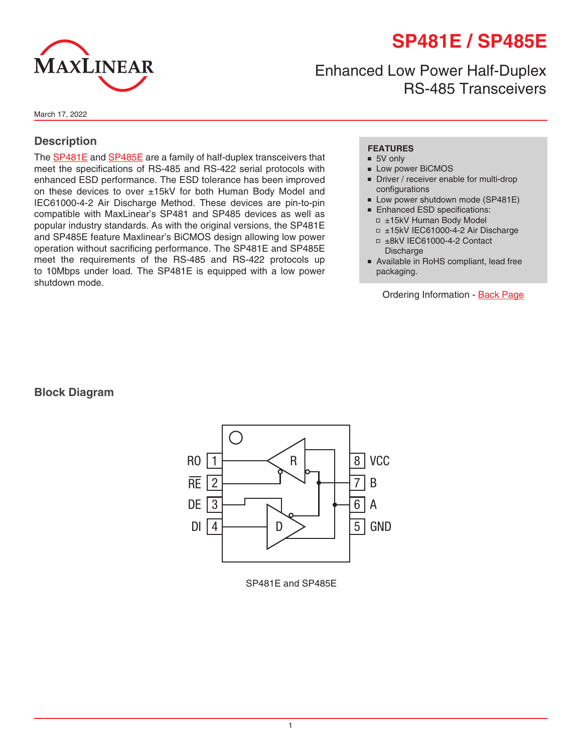# **SP481E / SP485E**



## Enhanced Low Power Half-Duplex RS-485 Transceivers

March 17, 2022

#### **Description**

The [SP481E](http://www.exar.com/SP481E) and [SP485E](http://www.exar.com/SP485E) are a family of half-duplex transceivers that meet the specifications of RS-485 and RS-422 serial protocols with enhanced ESD performance. The ESD tolerance has been improved on these devices to over ±15kV for both Human Body Model and IEC61000-4-2 Air Discharge Method. These devices are pin-to-pin compatible with MaxLinear's SP481 and SP485 devices as well as popular industry standards. As with the original versions, the SP481E and SP485E feature Maxlinear's BiCMOS design allowing low power operation without sacrificing performance. The SP481E and SP485E meet the requirements of the RS-485 and RS-422 protocols up to 10Mbps under load. The SP481E is equipped with a low power shutdown mode.

#### **FEATURES**

- 5V only
- Low power BiCMOS
- Driver / receiver enable for multi-drop configurations
- Low power shutdown mode (SP481E)
- Enhanced ESD specifications: □ ±15kV Human Body Model
	- □ ±15kV IEC61000-4-2 Air Discharge
	- ■ ±8kV IEC61000-4-2 Contact Discharge
- Available in RoHS compliant, lead free packaging.

Ordering Information - [Back Page](#page-8-0)

#### **Block Diagram**



SP481E and SP485E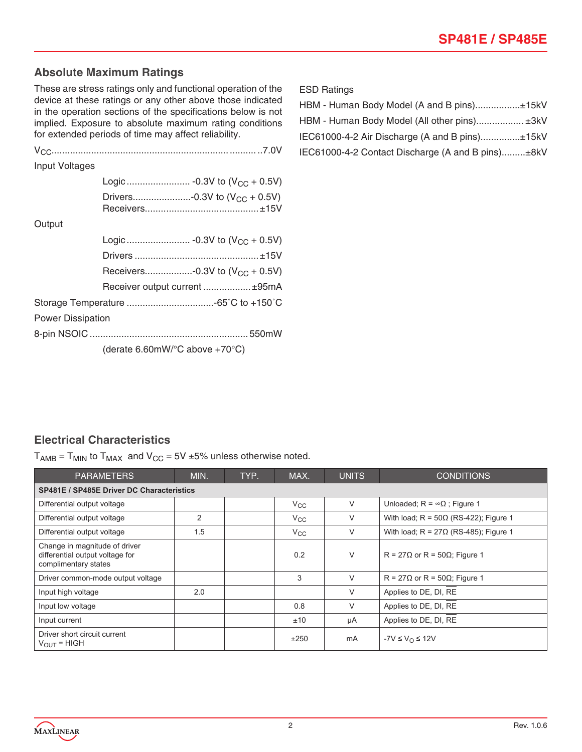#### **Absolute Maximum Ratings**

These are stress ratings only and functional operation of the device at these ratings or any other above those indicated in the operation sections of the specifications below is not implied. Exposure to absolute maximum rating conditions for extended periods of time may affect reliability.

| Input Voltages           |                                                            |
|--------------------------|------------------------------------------------------------|
|                          |                                                            |
|                          | Drivers-0.3V to $(V_{CC} + 0.5V)$                          |
| Output                   |                                                            |
|                          |                                                            |
|                          |                                                            |
|                          | Receivers-0.3V to $(V_{CC} + 0.5V)$                        |
|                          | Receiver output current  ±95mA                             |
|                          |                                                            |
| <b>Power Dissipation</b> |                                                            |
|                          |                                                            |
|                          | (derate 6.60mW/ $\textdegree$ C above +70 $\textdegree$ C) |

ESD Ratings

| HBM - Human Body Model (A and B pins)±15kV        |  |
|---------------------------------------------------|--|
| HBM - Human Body Model (All other pins) ±3kV      |  |
| IEC61000-4-2 Air Discharge (A and B pins)±15kV    |  |
| IEC61000-4-2 Contact Discharge (A and B pins)±8kV |  |

#### **Electrical Characteristics**

 $T_{AMB} = T_{MIN}$  to  $T_{MAX}$  and  $V_{CC} = 5V \pm 5\%$  unless otherwise noted.

| <b>PARAMETERS</b>                                                                        | MIN. | TYP. | MAX.         | <b>UNITS</b> | <b>CONDITIONS</b>                            |
|------------------------------------------------------------------------------------------|------|------|--------------|--------------|----------------------------------------------|
| <b>SP481E / SP485E Driver DC Characteristics</b>                                         |      |      |              |              |                                              |
| Differential output voltage                                                              |      |      | $V_{\rm CC}$ | V            | Unloaded; $R = \infty \Omega$ ; Figure 1     |
| Differential output voltage                                                              | 2    |      | $V_{\rm CC}$ | V            | With load; $R = 50\Omega$ (RS-422); Figure 1 |
| Differential output voltage                                                              | 1.5  |      | $V_{\rm CC}$ | V            | With load; $R = 27\Omega$ (RS-485); Figure 1 |
| Change in magnitude of driver<br>differential output voltage for<br>complimentary states |      |      | 0.2          | V            | $R = 27\Omega$ or $R = 50\Omega$ ; Figure 1  |
| Driver common-mode output voltage                                                        |      |      | 3            | V            | $R = 27\Omega$ or R = 50 $\Omega$ ; Figure 1 |
| Input high voltage                                                                       | 2.0  |      |              | V            | Applies to DE, DI, RE                        |
| Input low voltage                                                                        |      |      | 0.8          | V            | Applies to DE, DI, RE                        |
| Input current                                                                            |      |      | ±10          | μA           | Applies to DE, DI, RE                        |
| Driver short circuit current<br>$V_{OUT} = HIGH$                                         |      |      | ±250         | mA           | $-7V \leq V_{\Omega} \leq 12V$               |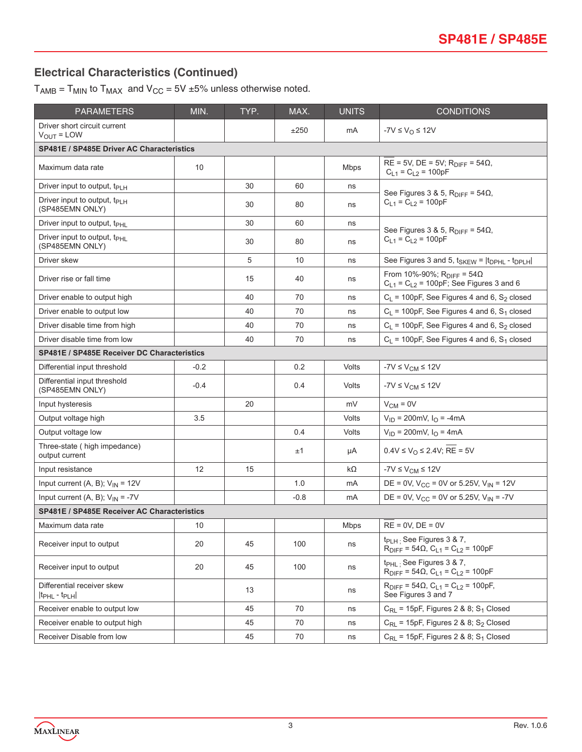## **Electrical Characteristics (Continued)**

 $T_{AMB} = T_{MIN}$  to  $T_{MAX}$  and  $V_{CC} = 5V \pm 5\%$  unless otherwise noted.

| <b>PARAMETERS</b>                                                 | MIN.   | TYP. | MAX.   | <b>UNITS</b> | <b>CONDITIONS</b>                                                                                |  |
|-------------------------------------------------------------------|--------|------|--------|--------------|--------------------------------------------------------------------------------------------------|--|
| Driver short circuit current<br>$V_{OUT} = LOW$                   |        |      | ±250   | mA           | $-7V \leq V_{\Omega} \leq 12V$                                                                   |  |
| <b>SP481E / SP485E Driver AC Characteristics</b>                  |        |      |        |              |                                                                                                  |  |
| Maximum data rate                                                 | 10     |      |        | <b>Mbps</b>  | $RE = 5V$ , $DE = 5V$ ; $R_{DIFF} = 54\Omega$ ,<br>$C_{L1} = C_{L2} = 100pF$                     |  |
| Driver input to output, $t_{\text{PLH}}$                          |        | 30   | 60     | ns           |                                                                                                  |  |
| Driver input to output, t <sub>PLH</sub><br>(SP485EMN ONLY)       |        | 30   | 80     | ns           | See Figures 3 & 5, $R_{\text{DIFF}} = 54\Omega$ ,<br>$C_{L1} = C_{L2} = 100pF$                   |  |
| Driver input to output, $t_{\text{PHL}}$                          |        | 30   | 60     | ns           |                                                                                                  |  |
| Driver input to output, t <sub>PHL</sub><br>(SP485EMN ONLY)       |        | 30   | 80     | ns           | See Figures 3 & 5, $R_{\text{DIFF}} = 54\Omega$ ,<br>$C_{L1} = C_{L2} = 100pF$                   |  |
| Driver skew                                                       |        | 5    | 10     | ns           | See Figures 3 and 5, $t_{SKEW}$ = $ t_{DPHL}$ - $t_{DPLH} $                                      |  |
| Driver rise or fall time                                          |        | 15   | 40     | ns           | From 10%-90%; R <sub>DIFF</sub> = 54Ω<br>$C_{L1} = C_{L2} = 100pF$ ; See Figures 3 and 6         |  |
| Driver enable to output high                                      |        | 40   | 70     | ns           | $C_L$ = 100pF, See Figures 4 and 6, S <sub>2</sub> closed                                        |  |
| Driver enable to output low                                       |        | 40   | 70     | ns           | $C_L$ = 100pF, See Figures 4 and 6, S <sub>1</sub> closed                                        |  |
| Driver disable time from high                                     |        | 40   | 70     | ns           | $C_L$ = 100pF, See Figures 4 and 6, S <sub>2</sub> closed                                        |  |
| Driver disable time from low                                      |        | 40   | 70     | ns           | $C_L$ = 100pF, See Figures 4 and 6, $S_1$ closed                                                 |  |
| <b>SP481E / SP485E Receiver DC Characteristics</b>                |        |      |        |              |                                                                                                  |  |
| Differential input threshold                                      | $-0.2$ |      | 0.2    | Volts        | $-7V \leq V_{CM} \leq 12V$                                                                       |  |
| Differential input threshold<br>(SP485EMN ONLY)                   | $-0.4$ |      | 0.4    | Volts        | $-7V \leq V_{CM} \leq 12V$                                                                       |  |
| Input hysteresis                                                  |        | 20   |        | mV           | $V_{CM} = 0V$                                                                                    |  |
| Output voltage high                                               | 3.5    |      |        | Volts        | $V_{ID}$ = 200mV, $I_{O}$ = -4mA                                                                 |  |
| Output voltage low                                                |        |      | 0.4    | Volts        | $V_{ID} = 200$ mV, $I_{O} = 4$ mA                                                                |  |
| Three-state ( high impedance)<br>output current                   |        |      | ±1     | μA           | $0.4V \le V_O \le 2.4V$ ; RE = 5V                                                                |  |
| Input resistance                                                  | 12     | 15   |        | kΩ           | $-7V \leq V_{CM} \leq 12V$                                                                       |  |
| Input current (A, B); $V_{1N} = 12V$                              |        |      | 1.0    | mA           | DE = 0V, $V_{CC}$ = 0V or 5.25V, $V_{IN}$ = 12V                                                  |  |
| Input current (A, B); $V_{IN} = -7V$                              |        |      | $-0.8$ | mA           | DE = 0V, $V_{CC}$ = 0V or 5.25V, $V_{IN}$ = -7V                                                  |  |
| SP481E / SP485E Receiver AC Characteristics                       |        |      |        |              |                                                                                                  |  |
| Maximum data rate                                                 | 10     |      |        | Mbps         | $RE = 0V$ , $DE = 0V$                                                                            |  |
| Receiver input to output                                          | 20     | 45   | 100    | ns           | t <sub>PLH:</sub> See Figures 3 & 7,<br>$R_{\text{DIFF}} = 54\Omega$ , $C_{L1} = C_{L2} = 100pF$ |  |
| Receiver input to output                                          | 20     | 45   | 100    | ns           | t <sub>PHL:</sub> See Figures 3 & 7,<br>$R_{\text{DIFF}} = 54\Omega$ , $C_{L1} = C_{L2} = 100pF$ |  |
| Differential receiver skew<br>$ t_{\text{PHL}} - t_{\text{PLH}} $ |        | 13   |        | ns           | $R_{\text{DIFF}} = 54\Omega$ , $C_{L1} = C_{L2} = 100pF$ ,<br>See Figures 3 and 7                |  |
| Receiver enable to output low                                     |        | 45   | 70     | ns           | $C_{RL}$ = 15pF, Figures 2 & 8; S <sub>1</sub> Closed                                            |  |
| Receiver enable to output high                                    |        | 45   | 70     | ns           | $C_{RL}$ = 15pF, Figures 2 & 8; S <sub>2</sub> Closed                                            |  |
| Receiver Disable from low                                         |        | 45   | 70     | ns           | $C_{\text{RL}}$ = 15pF, Figures 2 & 8; S <sub>1</sub> Closed                                     |  |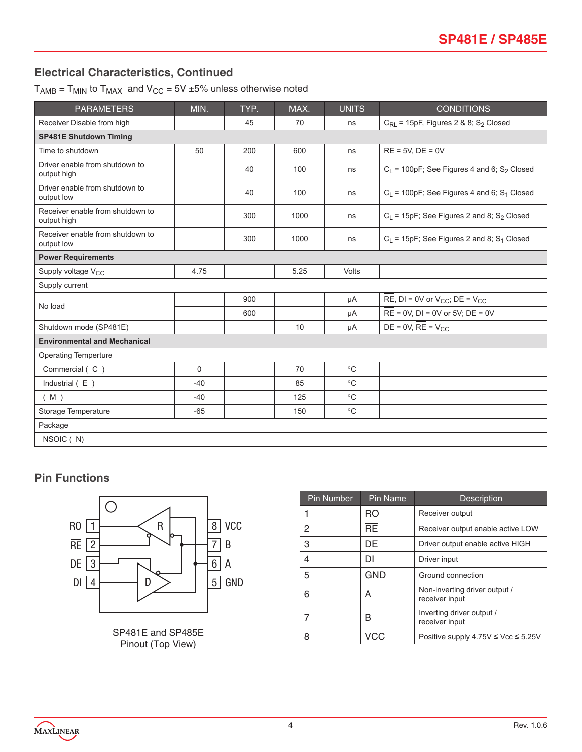### **Electrical Characteristics, Continued**

 $T_{AMB}$  =  $T_{MIN}$  to  $T_{MAX}$  and  $V_{CC}$  = 5V  $\pm$ 5% unless otherwise noted

| <b>PARAMETERS</b>                               | MIN.        | TYP. | MAX. | <b>UNITS</b> | <b>CONDITIONS</b>                                            |  |
|-------------------------------------------------|-------------|------|------|--------------|--------------------------------------------------------------|--|
| Receiver Disable from high                      |             | 45   | 70   | ns           | $C_{\text{RL}}$ = 15pF, Figures 2 & 8; S <sub>2</sub> Closed |  |
| <b>SP481E Shutdown Timing</b>                   |             |      |      |              |                                                              |  |
| Time to shutdown                                | 50          | 200  | 600  | ns           | $RE = 5V$ , $DE = 0V$                                        |  |
| Driver enable from shutdown to<br>output high   |             | 40   | 100  | ns           | $C_L$ = 100pF; See Figures 4 and 6; S <sub>2</sub> Closed    |  |
| Driver enable from shutdown to<br>output low    |             | 40   | 100  | ns           | $C_L$ = 100pF; See Figures 4 and 6; S <sub>1</sub> Closed    |  |
| Receiver enable from shutdown to<br>output high |             | 300  | 1000 | ns           | $C_L$ = 15pF; See Figures 2 and 8; S <sub>2</sub> Closed     |  |
| Receiver enable from shutdown to<br>output low  |             | 300  | 1000 | ns           | $C_L$ = 15pF; See Figures 2 and 8; S <sub>1</sub> Closed     |  |
| <b>Power Requirements</b>                       |             |      |      |              |                                                              |  |
| Supply voltage V <sub>CC</sub>                  | 4.75        |      | 5.25 | Volts        |                                                              |  |
| Supply current                                  |             |      |      |              |                                                              |  |
| No load                                         |             | 900  |      | μA           | RE, DI = 0V or $V_{CC}$ ; DE = $V_{CC}$                      |  |
|                                                 |             | 600  |      | μA           | $RE = 0V$ , $DI = 0V$ or $5V$ ; $DE = 0V$                    |  |
| Shutdown mode (SP481E)                          |             |      | 10   | μA           | $DE = 0V$ , $RE = V_{CC}$                                    |  |
| <b>Environmental and Mechanical</b>             |             |      |      |              |                                                              |  |
| <b>Operating Temperture</b>                     |             |      |      |              |                                                              |  |
| Commercial (C_)                                 | $\mathbf 0$ |      | 70   | $^{\circ}C$  |                                                              |  |
| Industrial $(E_$ )                              | $-40$       |      | 85   | $^{\circ}C$  |                                                              |  |
| $(M_$ )                                         | $-40$       |      | 125  | $^{\circ}C$  |                                                              |  |
| Storage Temperature                             | $-65$       |      | 150  | $^{\circ}C$  |                                                              |  |
| Package                                         |             |      |      |              |                                                              |  |
| NSOIC (N)                                       |             |      |      |              |                                                              |  |

## **Pin Functions**



SP481E and SP485E Pinout (Top View)

| <b>Pin Number</b> | <b>Pin Name</b> | <b>Description</b>                              |
|-------------------|-----------------|-------------------------------------------------|
|                   | RO              | Receiver output                                 |
| 2                 | <b>RE</b>       | Receiver output enable active LOW               |
| 3                 | DE              | Driver output enable active HIGH                |
| 4                 | DI              | Driver input                                    |
| 5                 | <b>GND</b>      | Ground connection                               |
| 6                 | A               | Non-inverting driver output /<br>receiver input |
|                   | в               | Inverting driver output /<br>receiver input     |
| 8                 | VCC             | Positive supply 4.75V ≤ Vcc ≤ 5.25V             |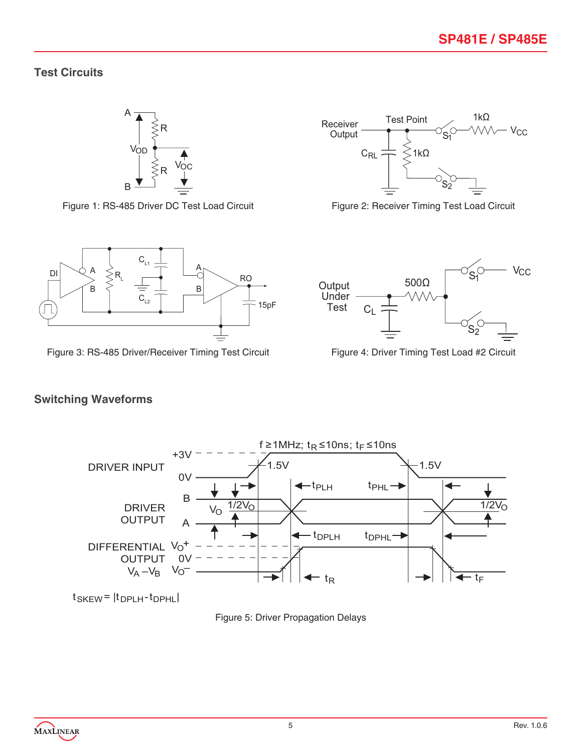1kΩ

**V<sub>CC</sub>** 

#### **Test Circuits**





Receiver Output

 $C_{RL} \neq \frac{1}{2}$  1kΩ

Test Point



Figure 3: RS-485 Driver/Receiver Timing Test Circuit Figure 4: Driver Timing Test Load #2 Circuit



## **Switching Waveforms**



 $t$ SKEW =  $|t$ DPLH- $t$ DPHL

Figure 5: Driver Propagation Delays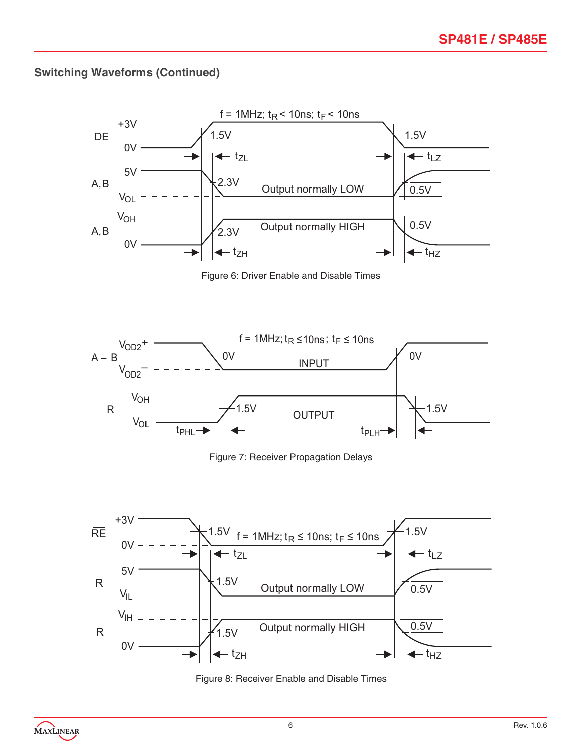## **Switching Waveforms (Continued)**



Figure 6: Driver Enable and Disable Times



Figure 7: Receiver Propagation Delays



Figure 8: Receiver Enable and Disable Times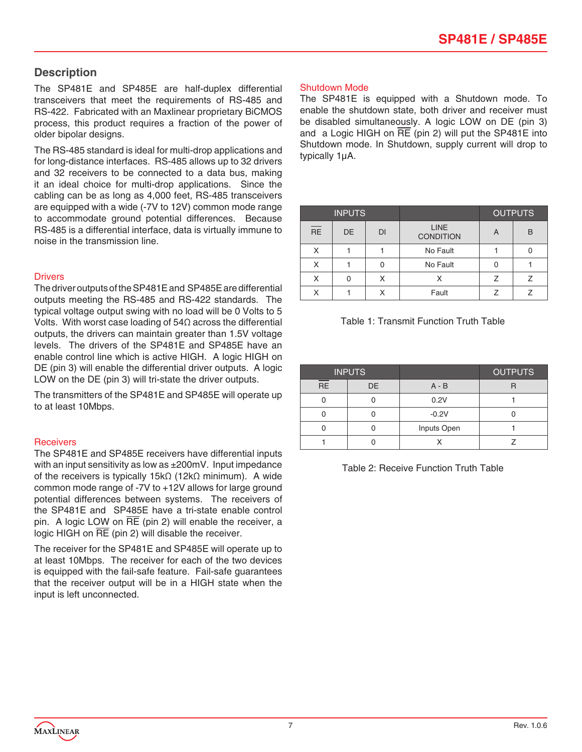#### **Description**

The SP481E and SP485E are half-duplex differential transceivers that meet the requirements of RS-485 and RS-422. Fabricated with an Maxlinear proprietary BiCMOS process, this product requires a fraction of the power of older bipolar designs.

The RS-485 standard is ideal for multi-drop applications and for long-distance interfaces. RS-485 allows up to 32 drivers and 32 receivers to be connected to a data bus, making it an ideal choice for multi-drop applications. Since the cabling can be as long as 4,000 feet, RS-485 transceivers are equipped with a wide (-7V to 12V) common mode range to accommodate ground potential differences. Because RS-485 is a differential interface, data is virtually immune to noise in the transmission line.

#### **Drivers**

The driver outputs of the SP481E and SP485E are differential outputs meeting the RS-485 and RS-422 standards. The typical voltage output swing with no load will be 0 Volts to 5 Volts. With worst case loading of 54Ω across the differential outputs, the drivers can maintain greater than 1.5V voltage levels. The drivers of the SP481E and SP485E have an enable control line which is active HIGH. A logic HIGH on DE (pin 3) will enable the differential driver outputs. A logic LOW on the DE (pin 3) will tri-state the driver outputs.

The transmitters of the SP481E and SP485E will operate up to at least 10Mbps.

#### **Receivers**

The SP481E and SP485E receivers have differential inputs with an input sensitivity as low as  $\pm 200$ mV. Input impedance of the receivers is typically 15kΩ (12kΩ minimum). A wide common mode range of -7V to +12V allows for large ground potential differences between systems. The receivers of the SP481E and SP485E have a tri-state enable control pin. A logic LOW on  $\overline{RE}$  (pin 2) will enable the receiver, a logic HIGH on RE (pin 2) will disable the receiver.

The receiver for the SP481E and SP485E will operate up to at least 10Mbps. The receiver for each of the two devices is equipped with the fail-safe feature. Fail-safe guarantees that the receiver output will be in a HIGH state when the input is left unconnected.

#### Shutdown Mode

The SP481E is equipped with a Shutdown mode. To enable the shutdown state, both driver and receiver must be disabled simultaneously. A logic LOW on DE (pin 3) and a Logic HIGH on RE (pin 2) will put the SP481E into Shutdown mode. In Shutdown, supply current will drop to typically 1µA.

| <b>INPUTS</b>   |    |           |                          | <b>OUTPUTS</b> |   |
|-----------------|----|-----------|--------------------------|----------------|---|
| $\overline{RE}$ | DE | <b>DI</b> | LINE<br><b>CONDITION</b> | A              | B |
|                 |    |           | No Fault                 |                |   |
| X               |    |           | No Fault                 |                |   |
|                 | Ω  | Χ         |                          |                |   |
|                 |    |           | Fault                    |                |   |



| <b>INPUTS</b> |    |             | <b>OUTPUTS</b> |
|---------------|----|-------------|----------------|
| <b>RE</b>     | DE | $A - B$     |                |
|               |    | 0.2V        |                |
|               |    | $-0.2V$     |                |
|               |    | Inputs Open |                |
|               |    |             |                |

Table 2: Receive Function Truth Table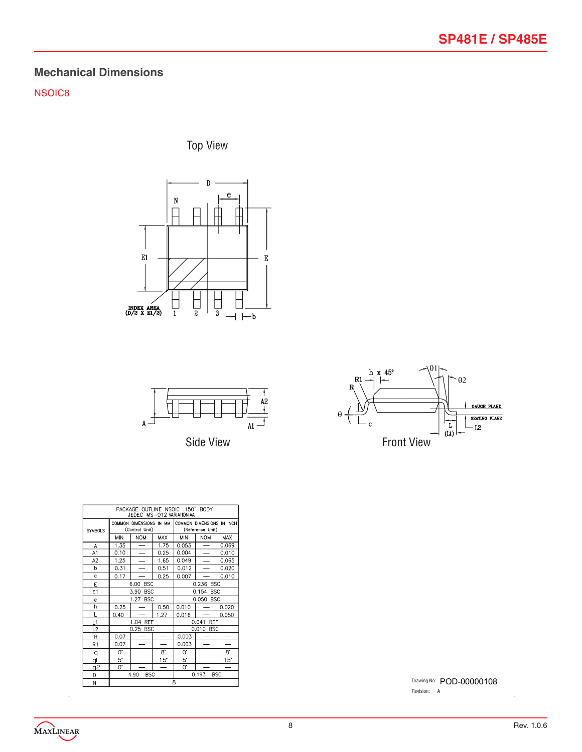## **Mechanical Dimensions**

NSOIC8

Top View







| PACKAGE OUTLINE NSOIC .150" BODY<br>JEDEC MS-012 VARIATION AA |      |                                           |            |                                               |                          |       |  |
|---------------------------------------------------------------|------|-------------------------------------------|------------|-----------------------------------------------|--------------------------|-------|--|
| <b>SYMBOLS</b>                                                |      | COMMON DIMENSIONS IN MM<br>(Control Unit) |            | COMMON DIMENSIONS IN INCH<br>(Reference Unit) |                          |       |  |
|                                                               | MIN  | <b>NOM</b>                                | <b>MAX</b> | <b>MIN</b>                                    | <b>NOM</b>               | MAX   |  |
| A                                                             | 1.35 | =                                         | 1.75       | 0.053                                         |                          | 0.069 |  |
| A1                                                            | 0.10 |                                           | 0.25       | 0.004                                         |                          | 0.010 |  |
| A <sub>2</sub>                                                | 1.25 |                                           | 1.65       | 0.049                                         | $\overline{\phantom{0}}$ | 0.065 |  |
| b                                                             | 0.31 |                                           | 0.51       | 0.012                                         |                          | 0.020 |  |
| c                                                             | 0.17 |                                           | 0.25       | 0.007                                         |                          | 0.010 |  |
| E                                                             |      | 6.00<br><b>BSC</b>                        |            |                                               | 0.236 BSC                |       |  |
| E1                                                            |      | 3.90<br><b>BSC</b>                        |            | 0.154<br><b>BSC</b>                           |                          |       |  |
| $\mathbf{e}$                                                  |      | 1.27 BSC                                  |            | 0.050 BSC                                     |                          |       |  |
| h                                                             | 0.25 |                                           | 0.50       | 0.010                                         |                          | 0.020 |  |
| L                                                             | 0.40 |                                           | 1.27       | 0.016                                         |                          | 0.050 |  |
| L1                                                            |      | 1.04 REF                                  |            |                                               | 0.041 REF                |       |  |
| L2                                                            |      | 0.25 BSC                                  |            |                                               | 0.010 BSC                |       |  |
| R                                                             | 0.07 |                                           |            | 0.003                                         |                          |       |  |
| R1                                                            | 0.07 |                                           |            | 0.003                                         |                          |       |  |
| q                                                             | 0.   |                                           | 8.         | 0.                                            |                          | 8.    |  |
| þ                                                             | 5.   |                                           | 15"        | 5.                                            |                          | 15"   |  |
| ڇو                                                            | 0.   |                                           |            | 0.                                            |                          |       |  |
| D                                                             |      | <b>BSC</b><br>0.193<br>4.90<br><b>BSC</b> |            |                                               |                          |       |  |
| M                                                             | R    |                                           |            |                                               |                          |       |  |

Drawing No: POD-00000108 Revision: A